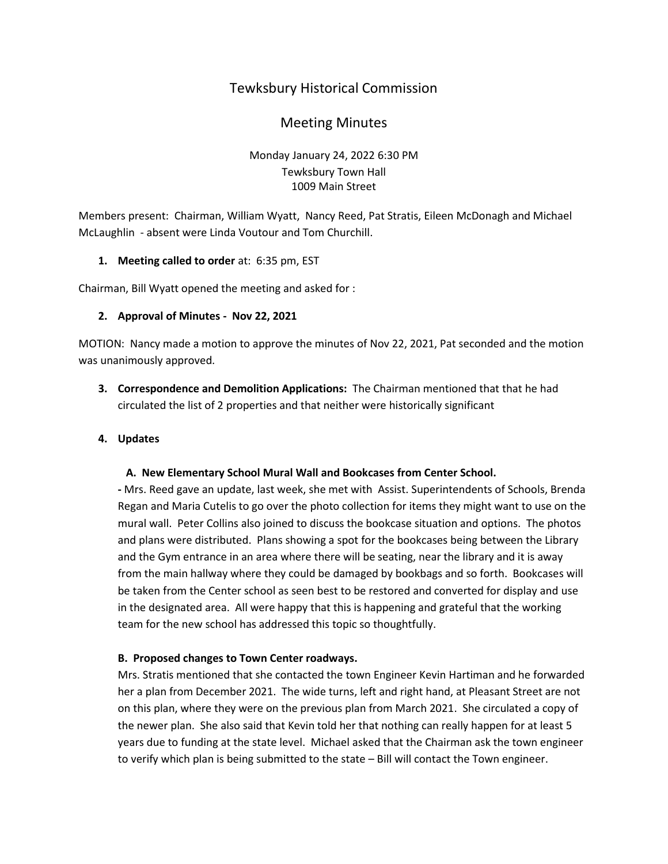# Tewksbury Historical Commission

## Meeting Minutes

## Monday January 24, 2022 6:30 PM Tewksbury Town Hall 1009 Main Street

Members present: Chairman, William Wyatt, Nancy Reed, Pat Stratis, Eileen McDonagh and Michael McLaughlin - absent were Linda Voutour and Tom Churchill.

### **1. Meeting called to order** at: 6:35 pm, EST

Chairman, Bill Wyatt opened the meeting and asked for :

### **2. Approval of Minutes - Nov 22, 2021**

MOTION: Nancy made a motion to approve the minutes of Nov 22, 2021, Pat seconded and the motion was unanimously approved.

**3. Correspondence and Demolition Applications:** The Chairman mentioned that that he had circulated the list of 2 properties and that neither were historically significant

## **4. Updates**

#### **A. New Elementary School Mural Wall and Bookcases from Center School.**

**-** Mrs. Reed gave an update, last week, she met with Assist. Superintendents of Schools, Brenda Regan and Maria Cutelis to go over the photo collection for items they might want to use on the mural wall. Peter Collins also joined to discuss the bookcase situation and options. The photos and plans were distributed. Plans showing a spot for the bookcases being between the Library and the Gym entrance in an area where there will be seating, near the library and it is away from the main hallway where they could be damaged by bookbags and so forth. Bookcases will be taken from the Center school as seen best to be restored and converted for display and use in the designated area. All were happy that this is happening and grateful that the working team for the new school has addressed this topic so thoughtfully.

#### **B. Proposed changes to Town Center roadways.**

Mrs. Stratis mentioned that she contacted the town Engineer Kevin Hartiman and he forwarded her a plan from December 2021. The wide turns, left and right hand, at Pleasant Street are not on this plan, where they were on the previous plan from March 2021. She circulated a copy of the newer plan. She also said that Kevin told her that nothing can really happen for at least 5 years due to funding at the state level. Michael asked that the Chairman ask the town engineer to verify which plan is being submitted to the state – Bill will contact the Town engineer.